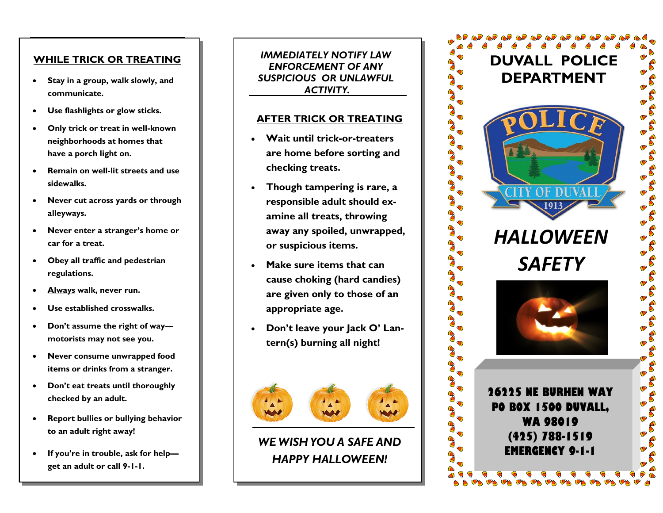## **WHILE TRICK OR TREATING**

- **Stay in a group, walk slowly, and communicate.**
- **Use flashlights or glow sticks.**
- **Only trick or treat in well-known neighborhoods at homes that have a porch light on.**
- **Remain on well-lit streets and use sidewalks.**
- **Never cut across yards or through alleyways.**
- **Never enter a stranger's home or car for a treat.**
- **Obey all traffic and pedestrian regulations.**
- **Always walk, never run.**
- **Use established crosswalks.**
- **Don't assume the right of way motorists may not see you.**
- **Never consume unwrapped food items or drinks from a stranger.**
- **Don't eat treats until thoroughly checked by an adult.**
- **Report bullies or bullying behavior to an adult right away!**
- **If you're in trouble, ask for help get an adult or call 9-1-1.**

*IMMEDIATELY NOTIFY LAW ENFORCEMENT OF ANY SUSPICIOUS OR UNLAWFUL ACTIVITY.* 

## **AFTER TRICK OR TREATING**

- **Wait until trick-or-treaters are home before sorting and checking treats.**
- **Though tampering is rare, a responsible adult should examine all treats, throwing away any spoiled, unwrapped, or suspicious items.**
- **Make sure items that can cause choking (hard candies) are given only to those of an appropriate age.**
- **Don't leave your Jack O' Lantern(s) burning all night!**



# **HAPPY HALLOWEEN!** *WE WISH YOU A SAFE AND*